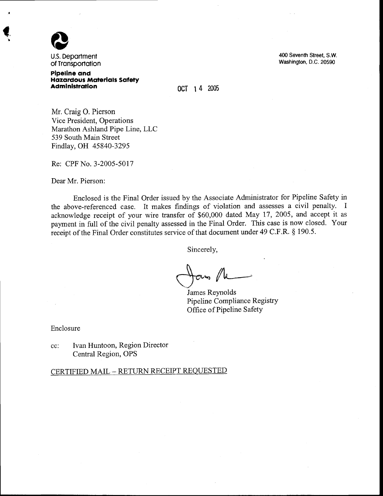

 $\blacklozenge$ 

U.S. Deportment of Transportation

Pipeline ond **Hazardous Materials Safety Administration** 

400 Seventh Street. S.W. washington, D.c. 20590

ocT 1 4 2005

Mr. Craig O. Pierson Vice President, Operations Marathon Ashland Pipe Line, LLC 539 South Main Street Findlay, OH 45840-3295

Re: CPF No. 3-2005-5017

Dear Mr. Pierson:

Enclosed is the Final Order issued by the Associate Administrator for Pipeline Safety in the above-referenced case. It makes findings of violation and assesses a civil penalty. I acknowledge receipt of your wire transfer of \$60,000 dated May 17, 2005, and accept it as payment in full of the civil penalty assessed in the Final Order. This case is now closed. Your receipt of the Final Order constitutes service of that document under 49 C.F.R. \$ 190.5.

Sincerely,

NA  $\bigcap \alpha$ us  $\ell$ 

James Reynolds Pipeline Compliance Registry Office of Pipeline SafetY

Enclosure

cc: Ivan Huntoon, Region Director Central Region, OPS

CERTIFIED MAIL - RETURN RECEIPT REQUESTED